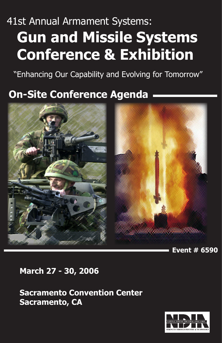## 41st Annual Armament Systems:  **Gun and Missile Systems Conference & Exhibition**

"Enhancing Our Capability and Evolving for Tomorrow"

#### **On-Site Conference Agenda**



**Event # 6590**

**March 27 - 30, 2006**

**Sacramento Convention Center Sacramento, CA**

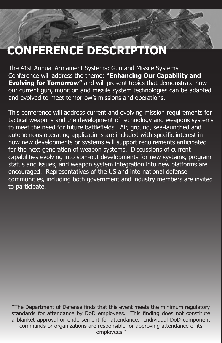### **CONFERENCE DESCRIPTION**

The 41st Annual Armament Systems: Gun and Missile Systems Conference will address the theme: **"Enhancing Our Capability and Evolving for Tomorrow"** and will present topics that demonstrate how our current gun, munition and missile system technologies can be adapted and evolved to meet tomorrow's missions and operations.

This conference will address current and evolving mission requirements for tactical weapons and the development of technology and weapons systems to meet the need for future battlefields. Air, ground, sea-launched and autonomous operating applications are included with specific interest in how new developments or systems will support requirements anticipated for the next generation of weapon systems. Discussions of current capabilities evolving into spin-out developments for new systems, program status and issues, and weapon system integration into new platforms are encouraged. Representatives of the US and international defense communities, including both government and industry members are invited to participate.

"The Department of Defense finds that this event meets the minimum regulatory standards for attendance by DoD employees. This finding does not constitute a blanket approval or endorsement for attendance. Individual DoD component commands or organizations are responsible for approving attendance of its employees."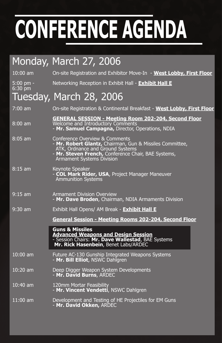|                          | Monday, March 27, 2006                                                                                                                                                                                                    |
|--------------------------|---------------------------------------------------------------------------------------------------------------------------------------------------------------------------------------------------------------------------|
| 10:00 am                 | On-site Registration and Exhibitor Move-In - West Lobby, First Floor                                                                                                                                                      |
| $5:00$ pm -<br>$6:30$ pm | Networking Reception in Exhibit Hall - <b>Exhibit Hall E</b>                                                                                                                                                              |
|                          | Tuesday, March 28, 2006                                                                                                                                                                                                   |
| $7:00$ am                | On-site Registration & Continental Breakfast - West Lobby, First Floor                                                                                                                                                    |
| $8:00$ am                | <b>GENERAL SESSION - Meeting Room 202-204, Second Floor</b><br>Welcome and Introductory Comments<br>- Mr. Samuel Campagna, Director, Operations, NDIA                                                                     |
| $8:05$ am                | Conference Overview & Comments<br>- Mr. Robert Glantz, Chairman, Gun & Missiles Committee,<br>ATK, Ordnance and Ground Systems<br>- Mr. Steven French, Conference Chair, BAE Systems,<br><b>Armament Systems Division</b> |
| $8:15$ am                | Keynote Speaker<br>- COL Mark Rider, USA, Project Manager Maneuver<br><b>Ammunition Systems</b>                                                                                                                           |
| $9:15$ am                | <b>Armament Division Overview</b><br>- Mr. Dave Broden, Chairman, NDIA Armaments Division                                                                                                                                 |
| $9:30$ am                | Exhibit Hall Opens/ AM Break - <b>Exhibit Hall E</b>                                                                                                                                                                      |
|                          | <b>General Session - Meeting Rooms 202-204, Second Floor</b>                                                                                                                                                              |
|                          | <b>Guns &amp; Missiles</b><br><b>Advanced Weapons and Design Session</b><br>- Session Chairs: Mr. Dave Wallestad, BAE Systems<br>Mr. Rick Hasenbein, Benet Labs/ARDEC                                                     |
| $10:00$ am               | Future AC-130 Gunship Integrated Weapons Systems<br>- Mr. Bill Elliot, NSWC Dahlgren                                                                                                                                      |
| $10:20$ am               | Deep Digger Weapon System Developments<br>- Mr. David Burns, ARDEC                                                                                                                                                        |
| $10:40$ am               | 120mm Mortar Feasibility<br>- Mr. Vincent Vendetti, NSWC Dahlgren                                                                                                                                                         |
| $11:00$ am               | Development and Testing of HE Projectiles for EM Guns<br>- Mr. David Okken, ARDEC                                                                                                                                         |
|                          |                                                                                                                                                                                                                           |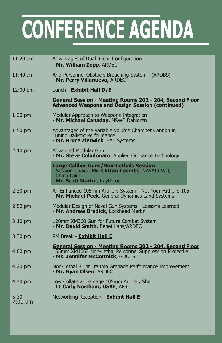| 11:20 am            | Advantages of Dual Recoil Configuration<br>- Mr. William Zepp, ARDEC                                                                                          |
|---------------------|---------------------------------------------------------------------------------------------------------------------------------------------------------------|
| $11:40$ am          | Anti-Personnel Obstacle Breaching System - (APOBS)<br>- Mr. Perry Villanueva, ARDEC                                                                           |
| $12:00 \text{ pm}$  | Lunch - Exhibit Hall D/E                                                                                                                                      |
|                     | General Session - Meeting Rooms 202 - 204, Second Floor<br><b>Advanced Weapons and Design Session (continued)</b>                                             |
| $1:30$ pm           | Modular Approach to Weapons Integration<br>- Mr. Michael Canaday, NSWC Dahlgren                                                                               |
| $1:50$ pm           | Advantages of the Variable Volume Chamber Cannon in<br>Tuning Ballistic Performance<br>- Mr. Bruce Zierwick, BAE Systems                                      |
| $2:10$ pm           | <b>Advanced Modular Gun</b><br>- Mr. Steve Coladonato, Applied Ordnance Technology                                                                            |
|                     | <b>Large Caliber Guns/Non-Lethals Session</b><br>- Session Chairs: Mr. Clifton Toombs, NAVAIR-WD,<br>China Lake<br>Mr. Scott Martin, Raytheon                 |
| $2:30$ pm           | An Enhanced 105mm Artillery System - Not Your Father's 105<br>- Mr. Michael Peck, General Dynamics Land Systems                                               |
| $2:50$ pm           | Modular Design of Naval Gun Systems - Lessons Learned<br>- Mr. Andrew Bradick, Lockheed Martin                                                                |
| $3:10$ pm           | 120mm XM360 Gun for Future Combat System<br>- Mr. David Smith, Benet Labs/ARDEC                                                                               |
| $3:30$ pm           | PM Break - Exhibit Hall E                                                                                                                                     |
| $4:00 \text{ pm}$   | <u>General Session - Meeting Rooms 202 - 204, Second Floor</u><br>155mm XM1063 Non-Lethal Personnel Suppression Projectile<br>- Ms. Jennifer McCormick, GDOTS |
| $4:20$ pm           | Non-Lethal Blunt Trauma Grenade Performance Improvement<br>- Mr. Ryan Olsen, ARDEC                                                                            |
| $4:40 \text{ pm}$   | Low Collateral Damage 105mm Artillery Shell<br>- Lt Carly Northam, USAF, AFRL                                                                                 |
| $5:30 -$<br>7:00 pm | Networking Reception - <b>Exhibit Hall E</b>                                                                                                                  |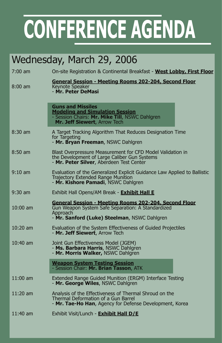#### Wednesday, March 29, 2006

| 7:00 am           | On-site Registration & Continental Breakfast - West Lobby, First Floor                                                                                                         |
|-------------------|--------------------------------------------------------------------------------------------------------------------------------------------------------------------------------|
| $8:00 \text{ am}$ | <u>General Session - Meeting Rooms 202-204, Second Floor</u><br><b>Keynote Speaker</b><br>- Mr. Peter DeMasi                                                                   |
|                   | <b>Guns and Missiles</b><br><b>Modeling and Simulation Session</b><br>- Session Chairs: Mr. Mike Till, NSWC Dahlgren<br>Mr. Jeff Siewert, Arrow Tech                           |
| $8:30$ am         | A Target Tracking Algorithm That Reduces Designation Time<br>for Targeting<br>- Mr. Bryan Freeman, NSWC Dahlgren                                                               |
| $8:50$ am         | Blast Overpressure Measurement for CFD Model Validation in<br>the Development of Large Caliber Gun Systems<br>- Mr. Peter Silver, Aberdeen Test Center                         |
| $9:10 \text{ am}$ | Evaluation of the Generalized Explicit Guidance Law Applied to Ballistic<br>Trajectory Extended Range Munition<br>- Mr. Kishore Pamadi, NSWC Dahlgren                          |
| $9:30$ am         | Exhibit Hall Opens/AM Break - <b>Exhibit Hall E</b>                                                                                                                            |
| $10:00$ am        | <u> General Session - Meeting Rooms 202-204, Second Floor</u><br>Gun Weapon System Safe Separation: A Standardized<br>Approach<br>- Mr. Sanford (Luke) Steelman, NSWC Dahlgren |
| $10:20$ am        | Evaluation of the System Effectiveness of Guided Projectiles<br>- Mr. Jeff Siewert, Arrow Tech                                                                                 |
| $10:40$ am        | Joint Gun Effectiveness Model (JGEM)<br>- Ms. Barbara Harris, NSWC Dahlgren<br>- Mr. Morris Walker, NSWC Dahlgren                                                              |
|                   | <b>Weapon System Testing Session</b><br>- Session Chair: Mr. Brian Tasson, ATK                                                                                                 |
| $11:00$ am        | Extended Range Guided Munition (ERGM) Interface Testing<br>- Mr. George Wiles, NSWC Dahlgren                                                                                   |
| $11:20$ am        | Analysis of the Effectiveness of Thermal Shroud on the<br>Thermal Deformation of a Gun Barrel<br>- Mr. Tae-Ho Han, Agency for Defense Development, Korea                       |
| $11:40$ am        | Exhibit Visit/Lunch - Exhibit Hall D/E                                                                                                                                         |
|                   |                                                                                                                                                                                |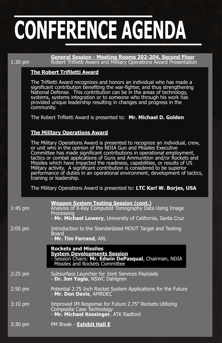**General Session - Meeting Rooms 202-204, Second Floor**<br>1:30 pm Robert Trifiletti Award and Military Operations Award Presentation Robert Trifiletti Award and Military Operations Award Presentation

#### **The Robert Trifiletti Award**

The Trifiletti Award recognizes and honors an individual who has made a significant contribution benefiting the war-fighter, and thus strengthening National Defense. This contribution can be in the areas of technology, systems, systems integration or to someone who through his work has provided unique leadership resulting in changes and progress in the community.

The Robert Trifiletti Award is presented to: **Mr. Michael D. Golden**

#### **The Military Operations Award**

The Military Operations Award is presented to recognize an individual, crew, or unit who in the opinion of the NDIA Gun and Missiles Executive Committee has made significant contributions in operational employment, tactics or combat applications of Guns and Ammunition and/or Rockets and Missiles which have impacted the readiness, capabilities, or results of US Military activity. A significant contribution is considered to be superior performance of duties in an operational environment, development of tactics, training or leadership.

The Military Operations Award is presented to: **LTC Karl W. Borjes, USA**

| $1:45$ pm         | <b>Weapon System Testing Session (cont.)</b><br>Analysis of X-Ray Computed Tomography Data Using Image<br>Processing<br>- Mr. Michael Lowery, University of California, Santa Cruz |
|-------------------|------------------------------------------------------------------------------------------------------------------------------------------------------------------------------------|
| $2:05$ pm         | Introduction to the Standardized MOUT Target and Testing<br><b>Board</b><br>- Mr. Tim Farrand, ARL                                                                                 |
|                   | <b>Rockets and Missiles</b><br><b>System Developments Session</b><br>- Session Chairs: Mr. Edwin DePasqual, Chairman, NDIA<br>Missiles and Rockets Committee                       |
| $2:25$ pm         | Subsurface Launcher for Joint Services Payloads<br>- Dr. Jon Yagla, NSWC Dahlgren                                                                                                  |
| $2:50$ pm         | Potential 2.75 Inch Rocket System Applications for the Future<br>- Mr. Don Davis, AMRDEC                                                                                           |
| $3:10$ pm         | Improved IM Response for Future 2.75" Rockets Utilizing<br>Composite Case Technology<br>- Mr. Michael Kessinger, ATK Radford                                                       |
| $3:30 \text{ pm}$ | PM Break - <b>Exhibit Hall E</b>                                                                                                                                                   |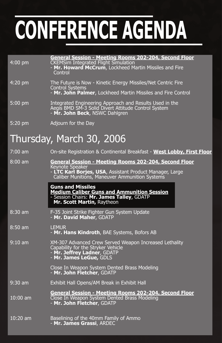| $4:00$ pm  | <b>General Session - Meeting Rooms 202-204, Second Floor</b><br><b>CKEMSim Integrated Flight Simulation</b><br>- Mr. Howard McCrum, Lockheed Martin Missiles and Fire<br>Control              |
|------------|-----------------------------------------------------------------------------------------------------------------------------------------------------------------------------------------------|
| 4:20 pm    | The Future is Now - Kinetic Energy Missiles/Net Centric Fire<br><b>Control Systems</b><br>- Mr. John Palmer, Lockheed Martin Missiles and Fire Control                                        |
| $5:00$ pm  | Integrated Engineering Approach and Results Used in the<br>Aegis BMD SM-3 Solid Divert Attitude Control System<br>- Mr. John Beck, NSWC Dahlgren                                              |
| 5:20 pm    | Adjourn for the Day                                                                                                                                                                           |
|            | Thursday, March 30, 2006                                                                                                                                                                      |
| $7:00$ am  | On-site Registration & Continental Breakfast - West Lobby, First Floor                                                                                                                        |
| $8:00$ am  | General Session - Meeting Rooms 202-204, Second Floor<br><b>Keynote Speaker</b><br>- LTC Karl Borjes, USA, Assistant Product Manager, Large<br>Caliber Munitions, Maneuver Ammunition Systems |
|            | <b>Guns and Missiles</b><br><b>Medium Caliber Guns and Ammunition Session</b><br>- Session Chairs: Mr. James Talley, GDATP<br>Mr. Scott Martin, Raytheon                                      |
| $8:30$ am  | F-35 Joint Strike Fighter Gun System Update<br>- Mr. David Maher, GDATP                                                                                                                       |
| $8:50$ am  | <b>LEMUR</b><br>- Mr. Hans Kindroth, BAE Systems, Bofors AB                                                                                                                                   |
| $9:10$ am  | XM-307 Advanced Crew Served Weapon Increased Lethality<br>Capability for the Stryker Vehicle<br>- Mr. Jeffrey Ladner, GDATP<br>- Mr. James LeGue, GDLS                                        |
|            | Close In Weapon System Dented Brass Modeling<br>- Mr. John Fletcher, GDATP                                                                                                                    |
| $9:30$ am  | Exhibit Hall Opens/AM Break in Exhibit Hall                                                                                                                                                   |
| $10:00$ am | General Session - Meeting Rooms 202-204, Second Floor<br>Close In Weapon System Dented Brass Modeling<br>- Mr. John Fletcher, GDATP                                                           |
| $10:20$ am | Baselining of the 40mm Family of Ammo<br>- Mr. James Grassi, ARDEC                                                                                                                            |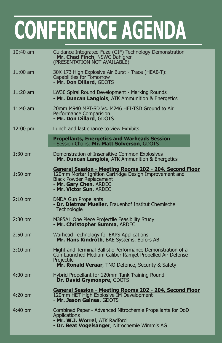| $10:40$ am         | Guidance Integrated Fuze (GIF) Technology Demonstration<br>- Mr. Chad Finch, NSWC Dahlgren<br>(PRESENTATION NOT AVAILABLE)                                                                                |
|--------------------|-----------------------------------------------------------------------------------------------------------------------------------------------------------------------------------------------------------|
| $11:00$ am         | 30X 173 High Explosive Air Burst - Trace (HEAB-T):<br>Capabilities for Tomorrow<br>- Mr. Don Dillard, GDOTS                                                                                               |
| 11:20 am           | LW30 Spiral Round Development - Marking Rounds<br>- Mr. Duncan Langlois, ATK Ammunition & Energetics                                                                                                      |
| 11:40 am           | 20mm M940 MPT-SD Vs. M246 HEI-TSD Ground to Air<br>Performance Comparision<br>- Mr. Don Dillard, GDOTS                                                                                                    |
| $12:00 \text{ pm}$ | Lunch and last chance to view Exhibits                                                                                                                                                                    |
|                    | <b>Propellants, Energetics and Warheads Session</b><br>- Session Chairs: Mr. Matt Solverson, GDOTS                                                                                                        |
| $1:30$ pm          | Demonstration of Insensitive Common Explosives<br>- Mr. Duncan Langlois, ATK Ammunition & Energetics                                                                                                      |
| $1:50$ pm          | General Session - Meeting Rooms 202 - 204, Second Floor<br>120mm Mortar Ignition Cartridge Design Improvement and<br><b>Black Powder Replacement</b><br>- Mr. Gary Chen, ARDEC<br>- Mr. Victor Sun, ARDEC |
| $2:10 \text{ pm}$  | <b>DNDA Gun Propellants</b><br>- Dr. Dietmar Mueller, Frauenhof Institut Chemische<br>Technologie                                                                                                         |
| $2:30$ pm          | M385A1 One Piece Projectile Feasibility Study<br>- Mr. Christopher Summa, ARDEC                                                                                                                           |
| $2:50$ pm          | Warhead Technology for EAPS Applications<br>- Mr. Hans Kindroth, BAE Systems, Bofors AB                                                                                                                   |
| $3:10 \text{ pm}$  | Flight and Terminal Ballistic Performance Demonstration of a<br>Gun-Launched Medium Caliber Ramjet Propelled Air Defense<br>Projectile<br>- Mr. Ronald Veraar, TNO Defence, Security & Safety             |
| $4:00 \text{ pm}$  | Hybrid Propellant for 120mm Tank Training Round<br>- Dr. David Grymonpre, GDOTS                                                                                                                           |
| $4:20$ pm          | <b>General Session - Meeting Rooms 202 - 204, Second Floor</b><br>120mm HET High Explosive IM Development<br>- Mr. Jason Gaines, GDOTS                                                                    |
| $4:40 \text{ pm}$  | Combined Paper - Advanced Nitrochemie Propellants for DoD<br><b>Applications</b><br>- Mr. W.J. Worrel, ATK Radford<br>- Dr. Beat Vogelsanger, Nitrochemie Wimmis AG                                       |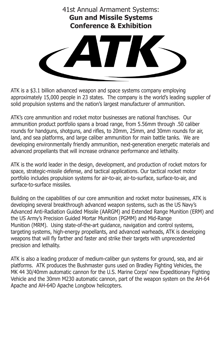

ATK is a \$3.1 billion advanced weapon and space systems company employing approximately 15,000 people in 23 states. The company is the world's leading supplier of solid propulsion systems and the nation's largest manufacturer of ammunition.

ATK's core ammunition and rocket motor businesses are national franchises. Our ammunition product portfolio spans a broad range, from 5.56mm through .50 caliber rounds for handguns, shotguns, and rifles, to 20mm, 25mm, and 30mm rounds for air, land, and sea platforms, and large caliber ammunition for main battle tanks. We are developing environmentally friendly ammunition, next-generation energetic materials and advanced propellants that will increase ordnance performance and lethality.

ATK is the world leader in the design, development, and production of rocket motors for space, strategic-missile defense, and tactical applications. Our tactical rocket motor portfolio includes propulsion systems for air-to-air, air-to-surface, surface-to-air, and surface-to-surface missiles.

Building on the capabilities of our core ammunition and rocket motor businesses, ATK is developing several breakthrough advanced weapon systems, such as the US Navy's Advanced Anti-Radiation Guided Missile (AARGM) and Extended Range Munition (ERM) and the US Army's Precision Guided Mortar Munition (PGMM) and Mid-Range Munition (MRM). Using state-of-the-art guidance, navigation and control systems, targeting systems, high-energy propellants, and advanced warheads, ATK is developing weapons that will fly farther and faster and strike their targets with unprecedented precision and lethality.

ATK is also a leading producer of medium-caliber gun systems for ground, sea, and air platforms. ATK produces the Bushmaster guns used on Bradley Fighting Vehicles, the MK 44 30/40mm automatic cannon for the U.S. Marine Corps' new Expeditionary Fighting Vehicle and the 30mm M230 automatic cannon, part of the weapon system on the AH-64 Apache and AH-64D Apache Longbow helicopters.